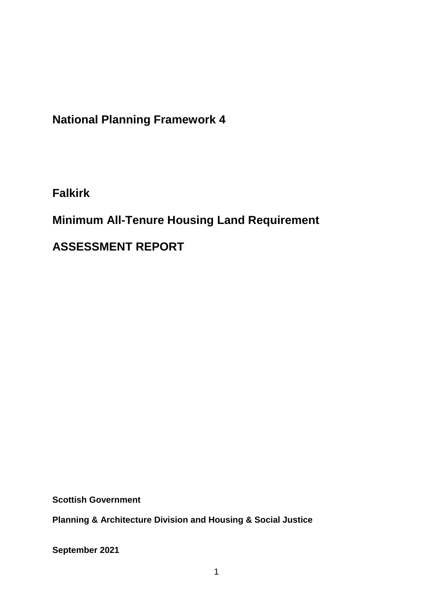**National Planning Framework 4**

**Falkirk**

**Minimum All-Tenure Housing Land Requirement** 

**ASSESSMENT REPORT**

**Scottish Government**

**Planning & Architecture Division and Housing & Social Justice** 

**September 2021**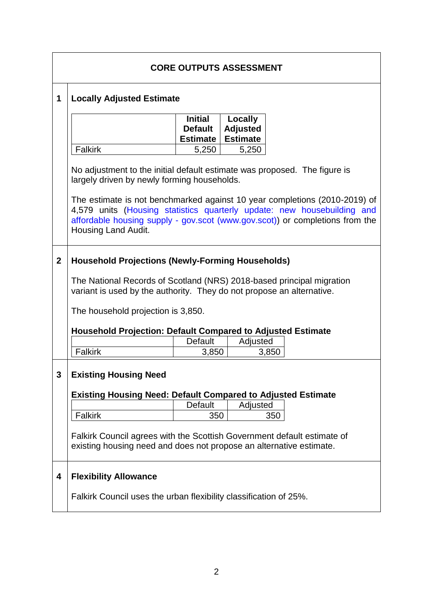|              | <b>CORE OUTPUTS ASSESSMENT</b>                                                                                                                                                                                                                                                                                                                                                                  |                                                     |                                               |       |  |  |
|--------------|-------------------------------------------------------------------------------------------------------------------------------------------------------------------------------------------------------------------------------------------------------------------------------------------------------------------------------------------------------------------------------------------------|-----------------------------------------------------|-----------------------------------------------|-------|--|--|
| 1            | <b>Locally Adjusted Estimate</b>                                                                                                                                                                                                                                                                                                                                                                |                                                     |                                               |       |  |  |
|              |                                                                                                                                                                                                                                                                                                                                                                                                 | <b>Initial</b><br><b>Default</b><br><b>Estimate</b> | Locally<br><b>Adjusted</b><br><b>Estimate</b> |       |  |  |
|              | <b>Falkirk</b>                                                                                                                                                                                                                                                                                                                                                                                  | 5,250                                               | 5,250                                         |       |  |  |
|              | No adjustment to the initial default estimate was proposed. The figure is<br>largely driven by newly forming households.<br>The estimate is not benchmarked against 10 year completions (2010-2019) of<br>4,579 units (Housing statistics quarterly update: new housebuilding and<br>affordable housing supply - gov.scot (www.gov.scot)) or completions from the<br><b>Housing Land Audit.</b> |                                                     |                                               |       |  |  |
| $\mathbf{2}$ | <b>Household Projections (Newly-Forming Households)</b><br>The National Records of Scotland (NRS) 2018-based principal migration                                                                                                                                                                                                                                                                |                                                     |                                               |       |  |  |
|              | variant is used by the authority. They do not propose an alternative.                                                                                                                                                                                                                                                                                                                           |                                                     |                                               |       |  |  |
|              | The household projection is 3,850.                                                                                                                                                                                                                                                                                                                                                              |                                                     |                                               |       |  |  |
|              | <b>Household Projection: Default Compared to Adjusted Estimate</b>                                                                                                                                                                                                                                                                                                                              |                                                     |                                               |       |  |  |
|              |                                                                                                                                                                                                                                                                                                                                                                                                 | <b>Default</b>                                      | Adjusted                                      |       |  |  |
|              | <b>Falkirk</b>                                                                                                                                                                                                                                                                                                                                                                                  | 3,850                                               |                                               | 3,850 |  |  |
| 3            | <b>Existing Housing Need</b><br><b>Existing Housing Need: Default Compared to Adjusted Estimate</b>                                                                                                                                                                                                                                                                                             |                                                     |                                               |       |  |  |
|              |                                                                                                                                                                                                                                                                                                                                                                                                 | Default                                             | Adjusted                                      |       |  |  |
|              | <b>Falkirk</b>                                                                                                                                                                                                                                                                                                                                                                                  | 350                                                 |                                               | 350   |  |  |
|              | Falkirk Council agrees with the Scottish Government default estimate of<br>existing housing need and does not propose an alternative estimate.                                                                                                                                                                                                                                                  |                                                     |                                               |       |  |  |
| 4            | <b>Flexibility Allowance</b>                                                                                                                                                                                                                                                                                                                                                                    |                                                     |                                               |       |  |  |
|              | Falkirk Council uses the urban flexibility classification of 25%.                                                                                                                                                                                                                                                                                                                               |                                                     |                                               |       |  |  |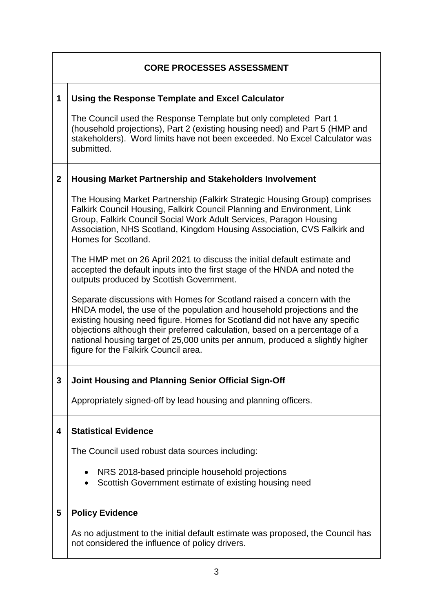|                | <b>CORE PROCESSES ASSESSMENT</b>                                                                                                                                                                                                                                                                                                                                                                                                        |  |  |  |  |
|----------------|-----------------------------------------------------------------------------------------------------------------------------------------------------------------------------------------------------------------------------------------------------------------------------------------------------------------------------------------------------------------------------------------------------------------------------------------|--|--|--|--|
| 1              | Using the Response Template and Excel Calculator                                                                                                                                                                                                                                                                                                                                                                                        |  |  |  |  |
|                | The Council used the Response Template but only completed Part 1<br>(household projections), Part 2 (existing housing need) and Part 5 (HMP and<br>stakeholders). Word limits have not been exceeded. No Excel Calculator was<br>submitted.                                                                                                                                                                                             |  |  |  |  |
| $\overline{2}$ | <b>Housing Market Partnership and Stakeholders Involvement</b>                                                                                                                                                                                                                                                                                                                                                                          |  |  |  |  |
|                | The Housing Market Partnership (Falkirk Strategic Housing Group) comprises<br>Falkirk Council Housing, Falkirk Council Planning and Environment, Link<br>Group, Falkirk Council Social Work Adult Services, Paragon Housing<br>Association, NHS Scotland, Kingdom Housing Association, CVS Falkirk and<br>Homes for Scotland.                                                                                                           |  |  |  |  |
|                | The HMP met on 26 April 2021 to discuss the initial default estimate and<br>accepted the default inputs into the first stage of the HNDA and noted the<br>outputs produced by Scottish Government.                                                                                                                                                                                                                                      |  |  |  |  |
|                | Separate discussions with Homes for Scotland raised a concern with the<br>HNDA model, the use of the population and household projections and the<br>existing housing need figure. Homes for Scotland did not have any specific<br>objections although their preferred calculation, based on a percentage of a<br>national housing target of 25,000 units per annum, produced a slightly higher<br>figure for the Falkirk Council area. |  |  |  |  |
| 3              | Joint Housing and Planning Senior Official Sign-Off                                                                                                                                                                                                                                                                                                                                                                                     |  |  |  |  |
|                | Appropriately signed-off by lead housing and planning officers.                                                                                                                                                                                                                                                                                                                                                                         |  |  |  |  |
| 4              | <b>Statistical Evidence</b><br>The Council used robust data sources including:<br>NRS 2018-based principle household projections<br>Scottish Government estimate of existing housing need                                                                                                                                                                                                                                               |  |  |  |  |
| 5              | <b>Policy Evidence</b>                                                                                                                                                                                                                                                                                                                                                                                                                  |  |  |  |  |
|                | As no adjustment to the initial default estimate was proposed, the Council has<br>not considered the influence of policy drivers.                                                                                                                                                                                                                                                                                                       |  |  |  |  |